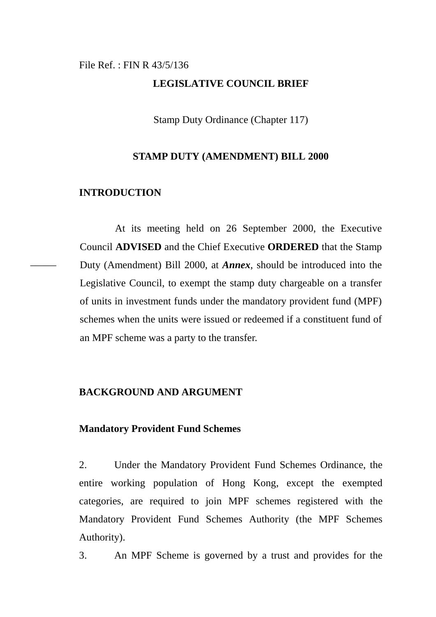### File Ref. : FIN R 43/5/136

### **LEGISLATIVE COUNCIL BRIEF**

Stamp Duty Ordinance (Chapter 117)

#### **STAMP DUTY (AMENDMENT) BILL 2000**

### **INTRODUCTION**

–––––

At its meeting held on 26 September 2000, the Executive Council **ADVISED** and the Chief Executive **ORDERED** that the Stamp Duty (Amendment) Bill 2000, at *Annex*, should be introduced into the Legislative Council, to exempt the stamp duty chargeable on a transfer of units in investment funds under the mandatory provident fund (MPF) schemes when the units were issued or redeemed if a constituent fund of an MPF scheme was a party to the transfer.

### **BACKGROUND AND ARGUMENT**

### **Mandatory Provident Fund Schemes**

2. Under the Mandatory Provident Fund Schemes Ordinance, the entire working population of Hong Kong, except the exempted categories, are required to join MPF schemes registered with the Mandatory Provident Fund Schemes Authority (the MPF Schemes Authority).

3. An MPF Scheme is governed by a trust and provides for the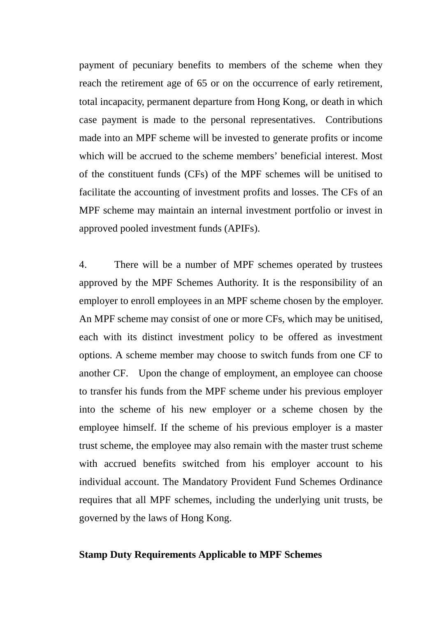payment of pecuniary benefits to members of the scheme when they reach the retirement age of 65 or on the occurrence of early retirement, total incapacity, permanent departure from Hong Kong, or death in which case payment is made to the personal representatives. Contributions made into an MPF scheme will be invested to generate profits or income which will be accrued to the scheme members' beneficial interest. Most of the constituent funds (CFs) of the MPF schemes will be unitised to facilitate the accounting of investment profits and losses. The CFs of an MPF scheme may maintain an internal investment portfolio or invest in approved pooled investment funds (APIFs).

4. There will be a number of MPF schemes operated by trustees approved by the MPF Schemes Authority. It is the responsibility of an employer to enroll employees in an MPF scheme chosen by the employer. An MPF scheme may consist of one or more CFs, which may be unitised, each with its distinct investment policy to be offered as investment options. A scheme member may choose to switch funds from one CF to another CF. Upon the change of employment, an employee can choose to transfer his funds from the MPF scheme under his previous employer into the scheme of his new employer or a scheme chosen by the employee himself. If the scheme of his previous employer is a master trust scheme, the employee may also remain with the master trust scheme with accrued benefits switched from his employer account to his individual account. The Mandatory Provident Fund Schemes Ordinance requires that all MPF schemes, including the underlying unit trusts, be governed by the laws of Hong Kong.

### **Stamp Duty Requirements Applicable to MPF Schemes**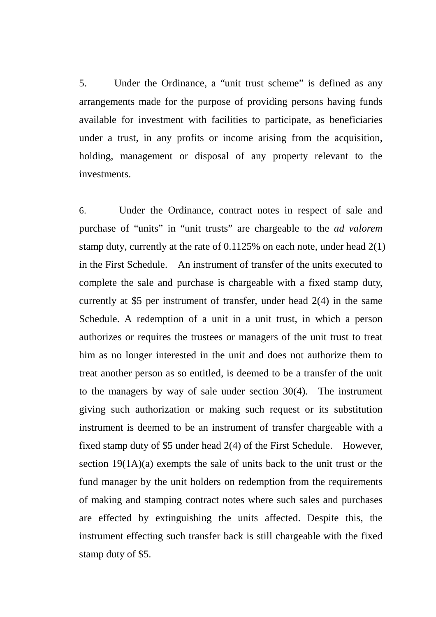5. Under the Ordinance, a "unit trust scheme" is defined as any arrangements made for the purpose of providing persons having funds available for investment with facilities to participate, as beneficiaries under a trust, in any profits or income arising from the acquisition, holding, management or disposal of any property relevant to the investments.

6. Under the Ordinance, contract notes in respect of sale and purchase of "units" in "unit trusts" are chargeable to the *ad valorem* stamp duty, currently at the rate of 0.1125% on each note, under head 2(1) in the First Schedule. An instrument of transfer of the units executed to complete the sale and purchase is chargeable with a fixed stamp duty, currently at \$5 per instrument of transfer, under head 2(4) in the same Schedule. A redemption of a unit in a unit trust, in which a person authorizes or requires the trustees or managers of the unit trust to treat him as no longer interested in the unit and does not authorize them to treat another person as so entitled, is deemed to be a transfer of the unit to the managers by way of sale under section 30(4). The instrument giving such authorization or making such request or its substitution instrument is deemed to be an instrument of transfer chargeable with a fixed stamp duty of \$5 under head 2(4) of the First Schedule. However, section  $19(1A)(a)$  exempts the sale of units back to the unit trust or the fund manager by the unit holders on redemption from the requirements of making and stamping contract notes where such sales and purchases are effected by extinguishing the units affected. Despite this, the instrument effecting such transfer back is still chargeable with the fixed stamp duty of \$5.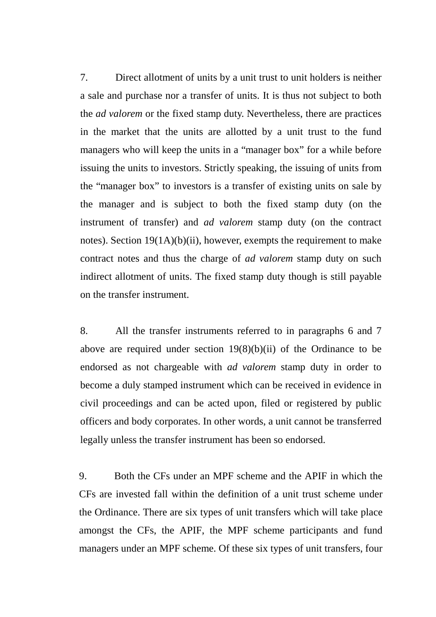7. Direct allotment of units by a unit trust to unit holders is neither a sale and purchase nor a transfer of units. It is thus not subject to both the *ad valorem* or the fixed stamp duty. Nevertheless, there are practices in the market that the units are allotted by a unit trust to the fund managers who will keep the units in a "manager box" for a while before issuing the units to investors. Strictly speaking, the issuing of units from the "manager box" to investors is a transfer of existing units on sale by the manager and is subject to both the fixed stamp duty (on the instrument of transfer) and *ad valorem* stamp duty (on the contract notes). Section  $19(1A)(b)(ii)$ , however, exempts the requirement to make contract notes and thus the charge of *ad valorem* stamp duty on such indirect allotment of units. The fixed stamp duty though is still payable on the transfer instrument.

8. All the transfer instruments referred to in paragraphs 6 and 7 above are required under section  $19(8)(b)(ii)$  of the Ordinance to be endorsed as not chargeable with *ad valorem* stamp duty in order to become a duly stamped instrument which can be received in evidence in civil proceedings and can be acted upon, filed or registered by public officers and body corporates. In other words, a unit cannot be transferred legally unless the transfer instrument has been so endorsed.

9. Both the CFs under an MPF scheme and the APIF in which the CFs are invested fall within the definition of a unit trust scheme under the Ordinance. There are six types of unit transfers which will take place amongst the CFs, the APIF, the MPF scheme participants and fund managers under an MPF scheme. Of these six types of unit transfers, four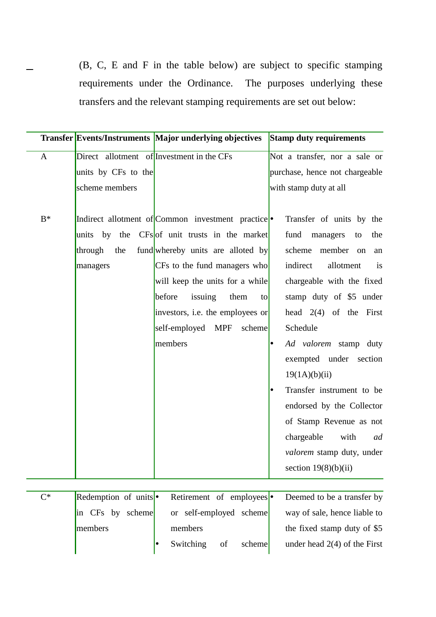(B, C, E and F in the table below) are subject to specific stamping requirements under the Ordinance. The purposes underlying these transfers and the relevant stamping requirements are set out below:

|       |                                       | Transfer Events/Instruments Major underlying objectives                                                                                                                                                                                                                                                                    | <b>Stamp duty requirements</b>                                                                                                                                                                                                                                                                                                                                                                                                                                 |
|-------|---------------------------------------|----------------------------------------------------------------------------------------------------------------------------------------------------------------------------------------------------------------------------------------------------------------------------------------------------------------------------|----------------------------------------------------------------------------------------------------------------------------------------------------------------------------------------------------------------------------------------------------------------------------------------------------------------------------------------------------------------------------------------------------------------------------------------------------------------|
| A     | units by CFs to the<br>scheme members | Direct allotment of Investment in the CFs                                                                                                                                                                                                                                                                                  | Not a transfer, nor a sale or<br>purchase, hence not chargeable<br>with stamp duty at all                                                                                                                                                                                                                                                                                                                                                                      |
| $B^*$ | through<br>the<br>managers            | Indirect allotment of Common investment practice<br>units by the CFs of unit trusts in the market<br>fund whereby units are alloted by<br>CFs to the fund managers who<br>will keep the units for a while<br>before<br>issuing<br>them<br>to<br>investors, i.e. the employees or<br>self-employed MPF<br>scheme<br>members | Transfer of units by the<br>fund<br>managers<br>the<br>to<br>scheme member on<br>an<br>indirect<br>allotment<br>is<br>chargeable with the fixed<br>stamp duty of \$5 under<br>head $2(4)$ of the First<br>Schedule<br>Ad valorem stamp duty<br>exempted under section<br>19(1A)(b)(ii)<br>Transfer instrument to be<br>endorsed by the Collector<br>of Stamp Revenue as not<br>chargeable<br>with<br>ad<br>valorem stamp duty, under<br>section $19(8)(b)(ii)$ |
|       |                                       |                                                                                                                                                                                                                                                                                                                            |                                                                                                                                                                                                                                                                                                                                                                                                                                                                |
| $C^*$ | Redemption of units <sup>•</sup>      | Retirement of employees •                                                                                                                                                                                                                                                                                                  | Deemed to be a transfer by                                                                                                                                                                                                                                                                                                                                                                                                                                     |
|       | in CFs by scheme                      | or self-employed scheme                                                                                                                                                                                                                                                                                                    | way of sale, hence liable to                                                                                                                                                                                                                                                                                                                                                                                                                                   |
|       | members                               | members                                                                                                                                                                                                                                                                                                                    | the fixed stamp duty of \$5                                                                                                                                                                                                                                                                                                                                                                                                                                    |
|       |                                       | Switching<br>scheme<br>of                                                                                                                                                                                                                                                                                                  | under head $2(4)$ of the First                                                                                                                                                                                                                                                                                                                                                                                                                                 |

 $\overline{\phantom{a}}$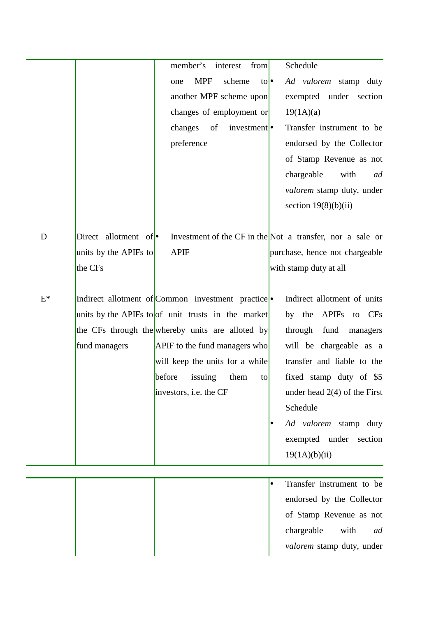|       |                               | member's interest<br>from                          | Schedule                                                  |
|-------|-------------------------------|----------------------------------------------------|-----------------------------------------------------------|
|       |                               | <b>MPF</b><br>scheme<br>one                        | Ad valorem stamp duty<br>$\mathsf{to}$                    |
|       |                               | another MPF scheme upon                            | exempted under<br>section                                 |
|       |                               | changes of employment or                           | 19(1A)(a)                                                 |
|       |                               | changes<br>of investment $ \bullet $               | Transfer instrument to be                                 |
|       |                               | preference                                         | endorsed by the Collector                                 |
|       |                               |                                                    | of Stamp Revenue as not                                   |
|       |                               |                                                    | chargeable<br>with<br>ad                                  |
|       |                               |                                                    | valorem stamp duty, under                                 |
|       |                               |                                                    | section $19(8)(b)(ii)$                                    |
|       |                               |                                                    |                                                           |
| D     | Direct allotment of $\bullet$ |                                                    | Investment of the CF in the Not a transfer, nor a sale or |
|       | units by the APIFs to         | <b>APIF</b>                                        | purchase, hence not chargeable                            |
|       | the CFs                       |                                                    | with stamp duty at all                                    |
|       |                               |                                                    |                                                           |
| $E^*$ |                               | Indirect allotment of Common investment practice   | Indirect allotment of units                               |
|       |                               | units by the APIFs to of unit trusts in the market | APIFs to CFs<br>by the                                    |
|       |                               | the CFs through the whereby units are alloted by   | through<br>fund<br>managers                               |
|       | fund managers                 | APIF to the fund managers who                      | will be chargeable as a                                   |
|       |                               | will keep the units for a while                    | transfer and liable to the                                |
|       |                               | before<br>issuing<br>them<br>to                    | fixed stamp duty of \$5                                   |
|       |                               | investors, i.e. the CF                             | under head $2(4)$ of the First                            |
|       |                               |                                                    | Schedule                                                  |
|       |                               |                                                    | Ad valorem stamp duty                                     |
|       |                               |                                                    | exempted under section                                    |
|       |                               |                                                    | 19(1A)(b)(ii)                                             |
|       |                               |                                                    |                                                           |
|       |                               |                                                    | Transfer instrument to be<br>$\bullet$                    |
|       |                               |                                                    | endorsed by the Collector                                 |
|       |                               |                                                    | of Stamp Revenue as not                                   |
|       |                               |                                                    | chargeable<br>with<br>ad                                  |
|       |                               |                                                    | valorem stamp duty, under                                 |
|       |                               |                                                    |                                                           |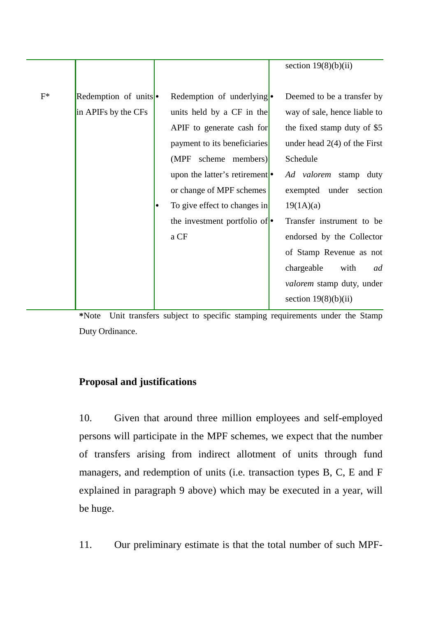|       |                                  |   |                                           | section $19(8)(b)(ii)$         |
|-------|----------------------------------|---|-------------------------------------------|--------------------------------|
|       |                                  |   |                                           |                                |
| $F^*$ | Redemption of units <sup>•</sup> |   | Redemption of underlying •                | Deemed to be a transfer by     |
|       | in APIFs by the CFs              |   | units held by a CF in the                 | way of sale, hence liable to   |
|       |                                  |   | APIF to generate cash for                 | the fixed stamp duty of \$5    |
|       |                                  |   | payment to its beneficiaries              | under head $2(4)$ of the First |
|       |                                  |   | $(MPF \quad scheme \quad members)$        | Schedule                       |
|       |                                  |   | upon the latter's retirement <sup>•</sup> | Ad valorem stamp duty          |
|       |                                  |   | or change of MPF schemes                  | exempted under<br>section      |
|       |                                  | ٠ | To give effect to changes in              | 19(1A)(a)                      |
|       |                                  |   | the investment portfolio of $\bullet$     | Transfer instrument to be      |
|       |                                  |   | a CF                                      | endorsed by the Collector      |
|       |                                  |   |                                           | of Stamp Revenue as not        |
|       |                                  |   |                                           | chargeable<br>with<br>ad       |
|       |                                  |   |                                           | valorem stamp duty, under      |
|       |                                  |   |                                           | section $19(8)(b)(ii)$         |
|       |                                  |   |                                           |                                |

**\***NoteUnit transfers subject to specific stamping requirements under the Stamp Duty Ordinance.

# **Proposal and justifications**

10. Given that around three million employees and self-employed persons will participate in the MPF schemes, we expect that the number of transfers arising from indirect allotment of units through fund managers, and redemption of units (i.e. transaction types B, C, E and F explained in paragraph 9 above) which may be executed in a year, will be huge.

11. Our preliminary estimate is that the total number of such MPF-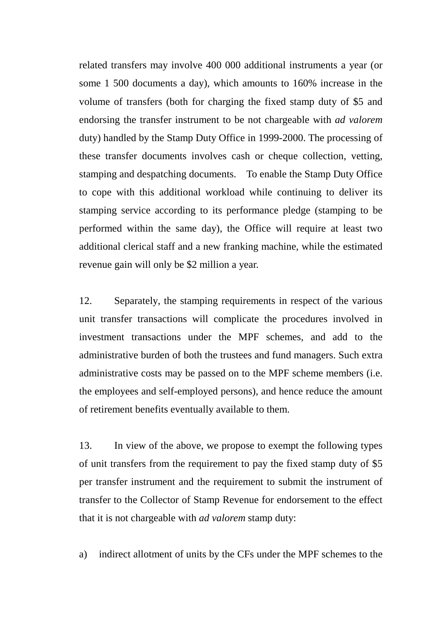related transfers may involve 400 000 additional instruments a year (or some 1 500 documents a day), which amounts to 160% increase in the volume of transfers (both for charging the fixed stamp duty of \$5 and endorsing the transfer instrument to be not chargeable with *ad valorem* duty) handled by the Stamp Duty Office in 1999-2000. The processing of these transfer documents involves cash or cheque collection, vetting, stamping and despatching documents. To enable the Stamp Duty Office to cope with this additional workload while continuing to deliver its stamping service according to its performance pledge (stamping to be performed within the same day), the Office will require at least two additional clerical staff and a new franking machine, while the estimated revenue gain will only be \$2 million a year.

12. Separately, the stamping requirements in respect of the various unit transfer transactions will complicate the procedures involved in investment transactions under the MPF schemes, and add to the administrative burden of both the trustees and fund managers. Such extra administrative costs may be passed on to the MPF scheme members (i.e. the employees and self-employed persons), and hence reduce the amount of retirement benefits eventually available to them.

13. In view of the above, we propose to exempt the following types of unit transfers from the requirement to pay the fixed stamp duty of \$5 per transfer instrument and the requirement to submit the instrument of transfer to the Collector of Stamp Revenue for endorsement to the effect that it is not chargeable with *ad valorem* stamp duty:

a) indirect allotment of units by the CFs under the MPF schemes to the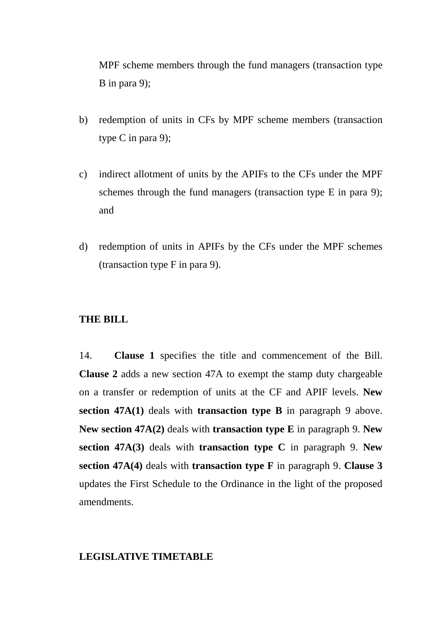MPF scheme members through the fund managers (transaction type B in para 9);

- b) redemption of units in CFs by MPF scheme members (transaction type C in para 9);
- c) indirect allotment of units by the APIFs to the CFs under the MPF schemes through the fund managers (transaction type E in para 9); and
- d) redemption of units in APIFs by the CFs under the MPF schemes (transaction type F in para 9).

### **THE BILL**

14. **Clause 1** specifies the title and commencement of the Bill. **Clause 2** adds a new section 47A to exempt the stamp duty chargeable on a transfer or redemption of units at the CF and APIF levels. **New section 47A(1)** deals with **transaction type B** in paragraph 9 above. **New section 47A(2)** deals with **transaction type E** in paragraph 9. **New section 47A(3)** deals with **transaction type C** in paragraph 9. **New section 47A(4)** deals with **transaction type F** in paragraph 9. **Clause 3** updates the First Schedule to the Ordinance in the light of the proposed amendments.

### **LEGISLATIVE TIMETABLE**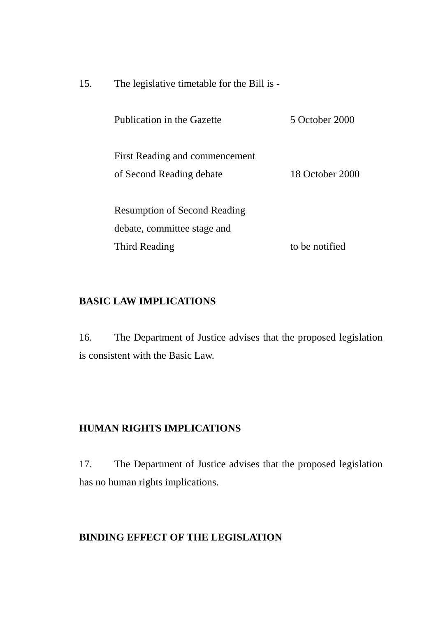15. The legislative timetable for the Bill is -

| Publication in the Gazette                                         | 5 October 2000  |
|--------------------------------------------------------------------|-----------------|
| First Reading and commencement<br>of Second Reading debate         | 18 October 2000 |
| <b>Resumption of Second Reading</b><br>debate, committee stage and |                 |
| Third Reading                                                      | to be notified  |

# **BASIC LAW IMPLICATIONS**

16. The Department of Justice advises that the proposed legislation is consistent with the Basic Law.

# **HUMAN RIGHTS IMPLICATIONS**

17. The Department of Justice advises that the proposed legislation has no human rights implications.

# **BINDING EFFECT OF THE LEGISLATION**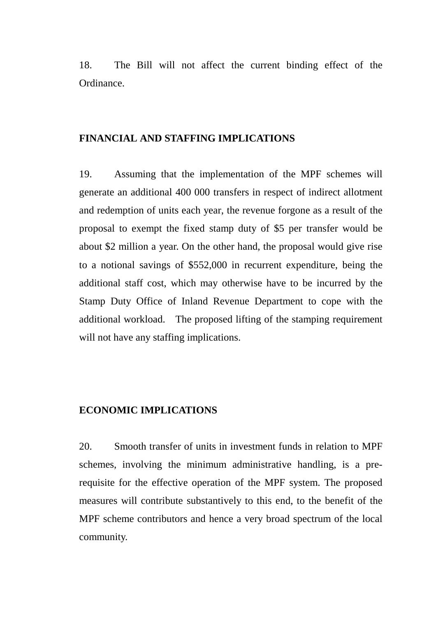18. The Bill will not affect the current binding effect of the Ordinance.

### **FINANCIAL AND STAFFING IMPLICATIONS**

19. Assuming that the implementation of the MPF schemes will generate an additional 400 000 transfers in respect of indirect allotment and redemption of units each year, the revenue forgone as a result of the proposal to exempt the fixed stamp duty of \$5 per transfer would be about \$2 million a year. On the other hand, the proposal would give rise to a notional savings of \$552,000 in recurrent expenditure, being the additional staff cost, which may otherwise have to be incurred by the Stamp Duty Office of Inland Revenue Department to cope with the additional workload. The proposed lifting of the stamping requirement will not have any staffing implications.

### **ECONOMIC IMPLICATIONS**

20. Smooth transfer of units in investment funds in relation to MPF schemes, involving the minimum administrative handling, is a prerequisite for the effective operation of the MPF system. The proposed measures will contribute substantively to this end, to the benefit of the MPF scheme contributors and hence a very broad spectrum of the local community.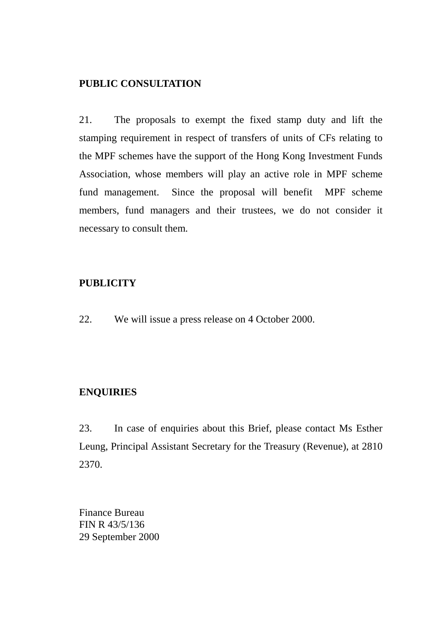### **PUBLIC CONSULTATION**

21. The proposals to exempt the fixed stamp duty and lift the stamping requirement in respect of transfers of units of CFs relating to the MPF schemes have the support of the Hong Kong Investment Funds Association, whose members will play an active role in MPF scheme fund management. Since the proposal will benefit MPF scheme members, fund managers and their trustees, we do not consider it necessary to consult them.

### **PUBLICITY**

22. We will issue a press release on 4 October 2000.

### **ENQUIRIES**

23. In case of enquiries about this Brief, please contact Ms Esther Leung, Principal Assistant Secretary for the Treasury (Revenue), at 2810 2370.

Finance Bureau FIN R 43/5/136 29 September 2000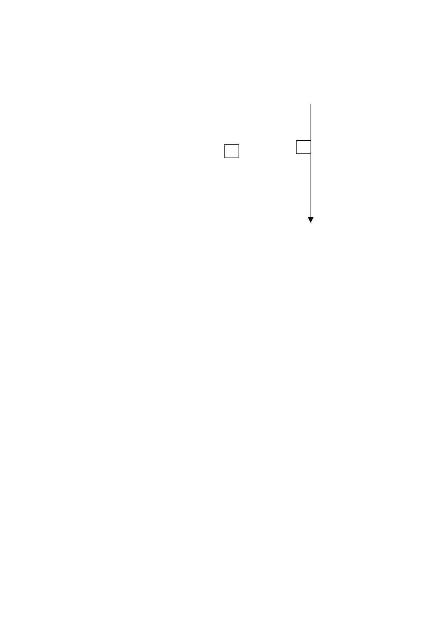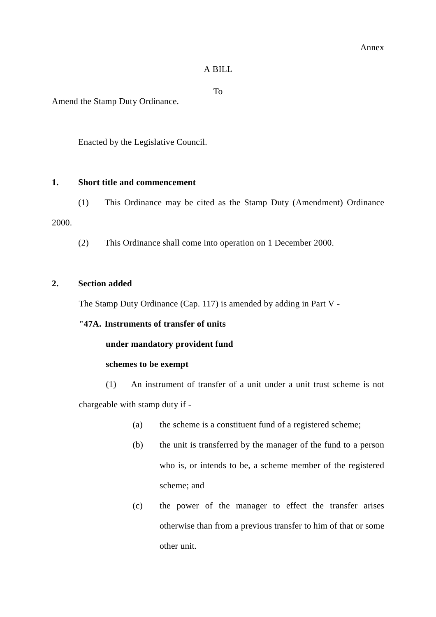### A BILL

To

Amend the Stamp Duty Ordinance.

Enacted by the Legislative Council.

#### **1. Short title and commencement**

(1) This Ordinance may be cited as the Stamp Duty (Amendment) Ordinance 2000.

(2) This Ordinance shall come into operation on 1 December 2000.

#### **2. Section added**

The Stamp Duty Ordinance (Cap. 117) is amended by adding in Part V -

#### **"47A. Instruments of transfer of units**

#### **under mandatory provident fund**

### **schemes to be exempt**

(1) An instrument of transfer of a unit under a unit trust scheme is not chargeable with stamp duty if -

- (a) the scheme is a constituent fund of a registered scheme;
- (b) the unit is transferred by the manager of the fund to a person who is, or intends to be, a scheme member of the registered scheme; and
- (c) the power of the manager to effect the transfer arises otherwise than from a previous transfer to him of that or some other unit.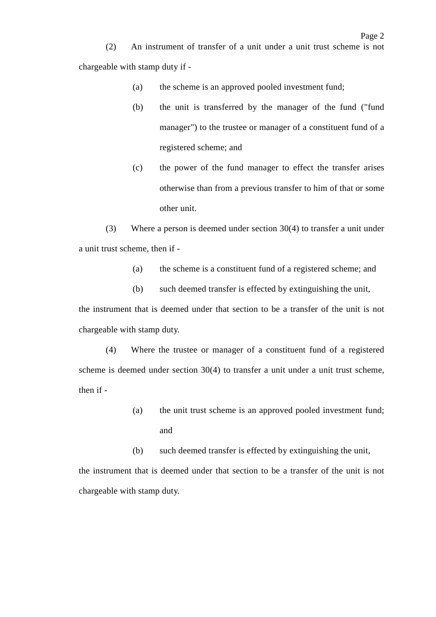(2) An instrument of transfer of a unit under a unit trust scheme is not chargeable with stamp duty if -

- (a) the scheme is an approved pooled investment fund;
- (b) the unit is transferred by the manager of the fund ("fund manager") to the trustee or manager of a constituent fund of a registered scheme; and
- (c) the power of the fund manager to effect the transfer arises otherwise than from a previous transfer to him of that or some other unit.

(3) Where a person is deemed under section 30(4) to transfer a unit under a unit trust scheme, then if -

- (a) the scheme is a constituent fund of a registered scheme; and
- (b) such deemed transfer is effected by extinguishing the unit,

the instrument that is deemed under that section to be a transfer of the unit is not chargeable with stamp duty.

(4) Where the trustee or manager of a constituent fund of a registered scheme is deemed under section 30(4) to transfer a unit under a unit trust scheme, then if -

- (a) the unit trust scheme is an approved pooled investment fund; and
- (b) such deemed transfer is effected by extinguishing the unit,

the instrument that is deemed under that section to be a transfer of the unit is not chargeable with stamp duty.